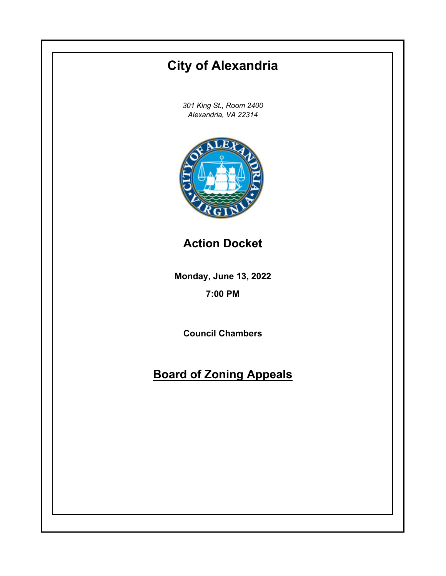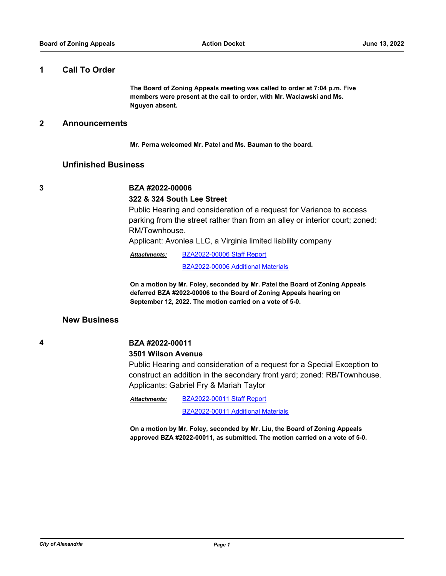## **1 Call To Order**

**The Board of Zoning Appeals meeting was called to order at 7:04 p.m. Five members were present at the call to order, with Mr. Waclawski and Ms. Nguyen absent.**

## **2 Announcements**

**Mr. Perna welcomed Mr. Patel and Ms. Bauman to the board.**

## **Unfinished Business**

# **3 BZA #2022-00006**

#### **322 & 324 South Lee Street**

Public Hearing and consideration of a request for Variance to access parking from the street rather than from an alley or interior court; zoned: RM/Townhouse.

Applicant: Avonlea LLC, a Virginia limited liability company

[BZA2022-00006 Staff Report](http://alexandria.legistar.com/gateway.aspx?M=F&ID=e79f1c01-36ec-454e-b7de-9cbbdf2eccb4.pdf) *Attachments:*

[BZA2022-00006 Additional Materials](http://alexandria.legistar.com/gateway.aspx?M=F&ID=db941090-8413-48be-9575-2d87dabe6d5d.pdf)

**On a motion by Mr. Foley, seconded by Mr. Patel the Board of Zoning Appeals deferred BZA #2022-00006 to the Board of Zoning Appeals hearing on September 12, 2022. The motion carried on a vote of 5-0.**

## **New Business**

# **4 BZA #2022-00011**

#### **3501 Wilson Avenue**

Public Hearing and consideration of a request for a Special Exception to construct an addition in the secondary front yard; zoned: RB/Townhouse. Applicants: Gabriel Fry & Mariah Taylor

[BZA2022-00011 Staff Report](http://alexandria.legistar.com/gateway.aspx?M=F&ID=70d51492-be53-46d6-bcc6-e59567f058c2.pdf) [BZA2022-00011 Additional Materials](http://alexandria.legistar.com/gateway.aspx?M=F&ID=719f8913-11f4-4699-a6a3-0c775b7fcae2.pdf) *Attachments:*

**On a motion by Mr. Foley, seconded by Mr. Liu, the Board of Zoning Appeals approved BZA #2022-00011, as submitted. The motion carried on a vote of 5-0.**